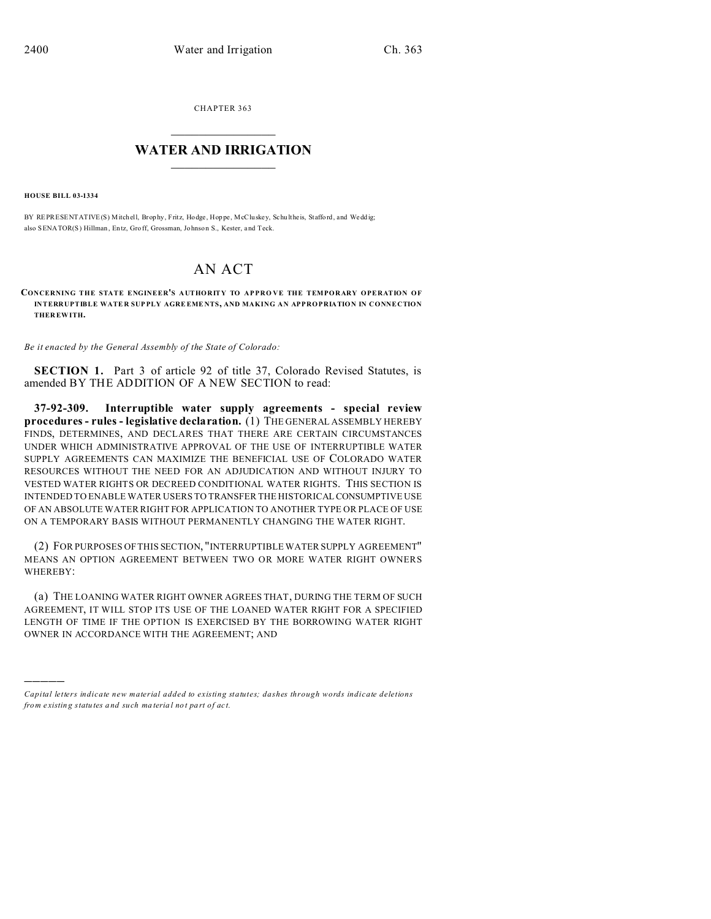CHAPTER 363  $\overline{\phantom{a}}$  , where  $\overline{\phantom{a}}$ 

## **WATER AND IRRIGATION**  $\_$   $\_$   $\_$   $\_$   $\_$   $\_$   $\_$   $\_$   $\_$

**HOUSE BILL 03-1334**

)))))

BY REPRESENTATIVE(S) Mitchell, Brophy, Fritz, Hodge, Hoppe, McCluskey, Schultheis, Stafford, and Weddig; also SENATOR(S) Hillman, Entz, Groff, Grossman, Johnson S., Kester, and Teck.

## AN ACT

**CONCERNING THE STATE ENGINEER'S AUTHORITY TO APPRO VE THE TEMPORARY OPERATION OF INTERRUPTIBLE WATE R SUP PLY AGRE EME NTS, AND MAKING AN APPROPRIATION IN CONNECTION THER EWITH.**

*Be it enacted by the General Assembly of the State of Colorado:*

**SECTION 1.** Part 3 of article 92 of title 37, Colorado Revised Statutes, is amended BY THE ADDITION OF A NEW SECTION to read:

**37-92-309. Interruptible water supply agreements - special review procedures - rules - legislative declaration.** (1) THE GENERAL ASSEMBLY HEREBY FINDS, DETERMINES, AND DECLARES THAT THERE ARE CERTAIN CIRCUMSTANCES UNDER WHICH ADMINISTRATIVE APPROVAL OF THE USE OF INTERRUPTIBLE WATER SUPPLY AGREEMENTS CAN MAXIMIZE THE BENEFICIAL USE OF COLORADO WATER RESOURCES WITHOUT THE NEED FOR AN ADJUDICATION AND WITHOUT INJURY TO VESTED WATER RIGHTS OR DECREED CONDITIONAL WATER RIGHTS. THIS SECTION IS INTENDED TO ENABLE WATER USERS TO TRANSFER THE HISTORICAL CONSUMPTIVE USE OF AN ABSOLUTE WATER RIGHT FOR APPLICATION TO ANOTHER TYPE OR PLACE OF USE ON A TEMPORARY BASIS WITHOUT PERMANENTLY CHANGING THE WATER RIGHT.

(2) FOR PURPOSES OF THIS SECTION, "INTERRUPTIBLE WATER SUPPLY AGREEMENT" MEANS AN OPTION AGREEMENT BETWEEN TWO OR MORE WATER RIGHT OWNERS WHEREBY:

(a) THE LOANING WATER RIGHT OWNER AGREES THAT, DURING THE TERM OF SUCH AGREEMENT, IT WILL STOP ITS USE OF THE LOANED WATER RIGHT FOR A SPECIFIED LENGTH OF TIME IF THE OPTION IS EXERCISED BY THE BORROWING WATER RIGHT OWNER IN ACCORDANCE WITH THE AGREEMENT; AND

*Capital letters indicate new material added to existing statutes; dashes through words indicate deletions from e xistin g statu tes a nd such ma teria l no t pa rt of ac t.*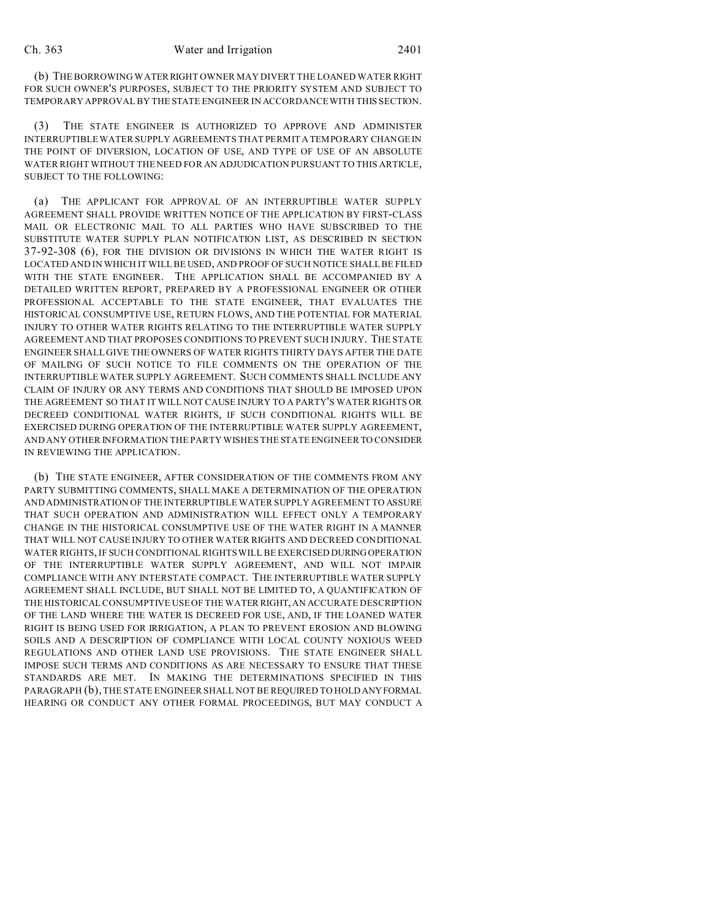(b) THE BORROWING WATERRIGHT OWNER MAY DIVERT THE LOANED WATER RIGHT FOR SUCH OWNER'S PURPOSES, SUBJECT TO THE PRIORITY SYSTEM AND SUBJECT TO TEMPORARY APPROVAL BY THE STATE ENGINEER IN ACCORDANCE WITH THIS SECTION.

(3) THE STATE ENGINEER IS AUTHORIZED TO APPROVE AND ADMINISTER INTERRUPTIBLE WATER SUPPLY AGREEMENTS THAT PERMIT A TEMPORARY CHANGE IN THE POINT OF DIVERSION, LOCATION OF USE, AND TYPE OF USE OF AN ABSOLUTE WATER RIGHT WITHOUT THE NEED FOR AN ADJUDICATION PURSUANT TO THIS ARTICLE, SUBJECT TO THE FOLLOWING:

(a) THE APPLICANT FOR APPROVAL OF AN INTERRUPTIBLE WATER SUPPLY AGREEMENT SHALL PROVIDE WRITTEN NOTICE OF THE APPLICATION BY FIRST-CLASS MAIL OR ELECTRONIC MAIL TO ALL PARTIES WHO HAVE SUBSCRIBED TO THE SUBSTITUTE WATER SUPPLY PLAN NOTIFICATION LIST, AS DESCRIBED IN SECTION 37-92-308 (6), FOR THE DIVISION OR DIVISIONS IN WHICH THE WATER RIGHT IS LOCATED AND IN WHICH IT WILL BE USED, AND PROOF OF SUCH NOTICE SHALL BE FILED WITH THE STATE ENGINEER. THE APPLICATION SHALL BE ACCOMPANIED BY A DETAILED WRITTEN REPORT, PREPARED BY A PROFESSIONAL ENGINEER OR OTHER PROFESSIONAL ACCEPTABLE TO THE STATE ENGINEER, THAT EVALUATES THE HISTORICAL CONSUMPTIVE USE, RETURN FLOWS, AND THE POTENTIAL FOR MATERIAL INJURY TO OTHER WATER RIGHTS RELATING TO THE INTERRUPTIBLE WATER SUPPLY AGREEMENT AND THAT PROPOSES CONDITIONS TO PREVENT SUCH INJURY. THE STATE ENGINEER SHALL GIVE THE OWNERS OF WATER RIGHTS THIRTY DAYS AFTER THE DATE OF MAILING OF SUCH NOTICE TO FILE COMMENTS ON THE OPERATION OF THE INTERRUPTIBLE WATER SUPPLY AGREEMENT. SUCH COMMENTS SHALL INCLUDE ANY CLAIM OF INJURY OR ANY TERMS AND CONDITIONS THAT SHOULD BE IMPOSED UPON THE AGREEMENT SO THAT IT WILL NOT CAUSE INJURY TO A PARTY'S WATER RIGHTS OR DECREED CONDITIONAL WATER RIGHTS, IF SUCH CONDITIONAL RIGHTS WILL BE EXERCISED DURING OPERATION OF THE INTERRUPTIBLE WATER SUPPLY AGREEMENT, AND ANY OTHER INFORMATION THE PARTY WISHES THE STATE ENGINEER TO CONSIDER IN REVIEWING THE APPLICATION.

(b) THE STATE ENGINEER, AFTER CONSIDERATION OF THE COMMENTS FROM ANY PARTY SUBMITTING COMMENTS, SHALL MAKE A DETERMINATION OF THE OPERATION AND ADMINISTRATION OF THE INTERRUPTIBLE WATER SUPPLY AGREEMENT TO ASSURE THAT SUCH OPERATION AND ADMINISTRATION WILL EFFECT ONLY A TEMPORARY CHANGE IN THE HISTORICAL CONSUMPTIVE USE OF THE WATER RIGHT IN A MANNER THAT WILL NOT CAUSE INJURY TO OTHER WATER RIGHTS AND DECREED CONDITIONAL WATER RIGHTS, IF SUCH CONDITIONAL RIGHTS WILL BE EXERCISED DURING OPERATION OF THE INTERRUPTIBLE WATER SUPPLY AGREEMENT, AND WILL NOT IMPAIR COMPLIANCE WITH ANY INTERSTATE COMPACT. THE INTERRUPTIBLE WATER SUPPLY AGREEMENT SHALL INCLUDE, BUT SHALL NOT BE LIMITED TO, A QUANTIFICATION OF THE HISTORICAL CONSUMPTIVE USE OF THE WATER RIGHT, AN ACCURATE DESCRIPTION OF THE LAND WHERE THE WATER IS DECREED FOR USE, AND, IF THE LOANED WATER RIGHT IS BEING USED FOR IRRIGATION, A PLAN TO PREVENT EROSION AND BLOWING SOILS AND A DESCRIPTION OF COMPLIANCE WITH LOCAL COUNTY NOXIOUS WEED REGULATIONS AND OTHER LAND USE PROVISIONS. THE STATE ENGINEER SHALL IMPOSE SUCH TERMS AND CONDITIONS AS ARE NECESSARY TO ENSURE THAT THESE STANDARDS ARE MET. IN MAKING THE DETERMINATIONS SPECIFIED IN THIS PARAGRAPH (b), THE STATE ENGINEER SHALL NOT BE REQUIRED TO HOLD ANYFORMAL HEARING OR CONDUCT ANY OTHER FORMAL PROCEEDINGS, BUT MAY CONDUCT A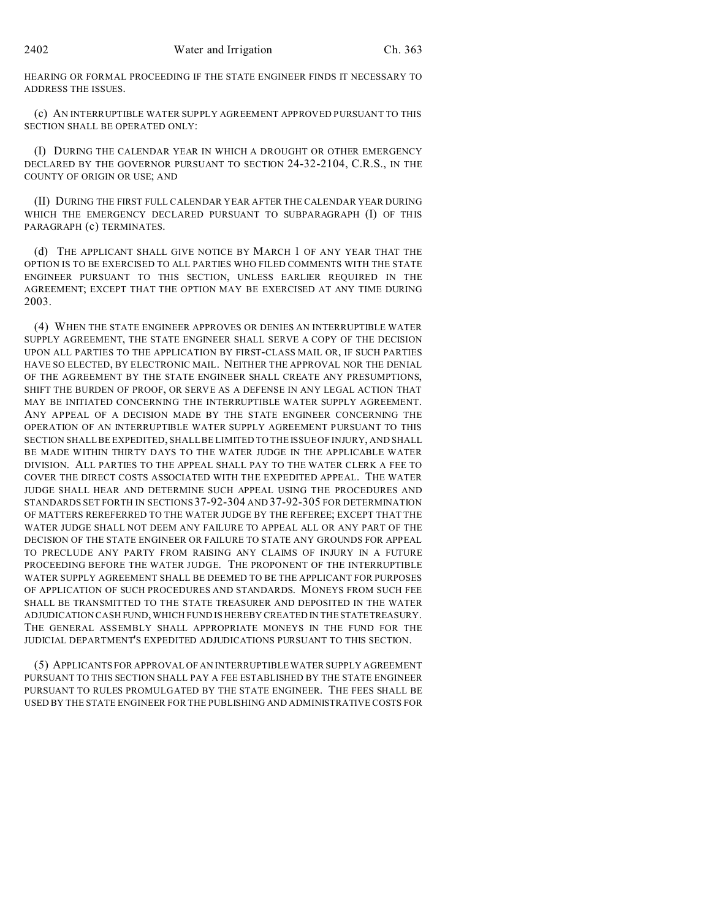HEARING OR FORMAL PROCEEDING IF THE STATE ENGINEER FINDS IT NECESSARY TO ADDRESS THE ISSUES.

(c) AN INTERRUPTIBLE WATER SUPPLY AGREEMENT APPROVED PURSUANT TO THIS SECTION SHALL BE OPERATED ONLY:

(I) DURING THE CALENDAR YEAR IN WHICH A DROUGHT OR OTHER EMERGENCY DECLARED BY THE GOVERNOR PURSUANT TO SECTION 24-32-2104, C.R.S., IN THE COUNTY OF ORIGIN OR USE; AND

(II) DURING THE FIRST FULL CALENDAR YEAR AFTER THE CALENDAR YEAR DURING WHICH THE EMERGENCY DECLARED PURSUANT TO SUBPARAGRAPH (I) OF THIS PARAGRAPH (c) TERMINATES.

(d) THE APPLICANT SHALL GIVE NOTICE BY MARCH 1 OF ANY YEAR THAT THE OPTION IS TO BE EXERCISED TO ALL PARTIES WHO FILED COMMENTS WITH THE STATE ENGINEER PURSUANT TO THIS SECTION, UNLESS EARLIER REQUIRED IN THE AGREEMENT; EXCEPT THAT THE OPTION MAY BE EXERCISED AT ANY TIME DURING 2003.

(4) WHEN THE STATE ENGINEER APPROVES OR DENIES AN INTERRUPTIBLE WATER SUPPLY AGREEMENT, THE STATE ENGINEER SHALL SERVE A COPY OF THE DECISION UPON ALL PARTIES TO THE APPLICATION BY FIRST-CLASS MAIL OR, IF SUCH PARTIES HAVE SO ELECTED, BY ELECTRONIC MAIL. NEITHER THE APPROVAL NOR THE DENIAL OF THE AGREEMENT BY THE STATE ENGINEER SHALL CREATE ANY PRESUMPTIONS, SHIFT THE BURDEN OF PROOF, OR SERVE AS A DEFENSE IN ANY LEGAL ACTION THAT MAY BE INITIATED CONCERNING THE INTERRUPTIBLE WATER SUPPLY AGREEMENT. ANY APPEAL OF A DECISION MADE BY THE STATE ENGINEER CONCERNING THE OPERATION OF AN INTERRUPTIBLE WATER SUPPLY AGREEMENT PURSUANT TO THIS SECTION SHALL BE EXPEDITED, SHALL BE LIMITED TO THE ISSUE OF INJURY, AND SHALL BE MADE WITHIN THIRTY DAYS TO THE WATER JUDGE IN THE APPLICABLE WATER DIVISION. ALL PARTIES TO THE APPEAL SHALL PAY TO THE WATER CLERK A FEE TO COVER THE DIRECT COSTS ASSOCIATED WITH THE EXPEDITED APPEAL. THE WATER JUDGE SHALL HEAR AND DETERMINE SUCH APPEAL USING THE PROCEDURES AND STANDARDS SET FORTH IN SECTIONS 37-92-304 AND 37-92-305 FOR DETERMINATION OF MATTERS REREFERRED TO THE WATER JUDGE BY THE REFEREE; EXCEPT THAT THE WATER JUDGE SHALL NOT DEEM ANY FAILURE TO APPEAL ALL OR ANY PART OF THE DECISION OF THE STATE ENGINEER OR FAILURE TO STATE ANY GROUNDS FOR APPEAL TO PRECLUDE ANY PARTY FROM RAISING ANY CLAIMS OF INJURY IN A FUTURE PROCEEDING BEFORE THE WATER JUDGE. THE PROPONENT OF THE INTERRUPTIBLE WATER SUPPLY AGREEMENT SHALL BE DEEMED TO BE THE APPLICANT FOR PURPOSES OF APPLICATION OF SUCH PROCEDURES AND STANDARDS. MONEYS FROM SUCH FEE SHALL BE TRANSMITTED TO THE STATE TREASURER AND DEPOSITED IN THE WATER ADJUDICATION CASH FUND, WHICH FUND IS HEREBY CREATED IN THESTATETREASURY. THE GENERAL ASSEMBLY SHALL APPROPRIATE MONEYS IN THE FUND FOR THE JUDICIAL DEPARTMENT'S EXPEDITED ADJUDICATIONS PURSUANT TO THIS SECTION.

(5) APPLICANTS FOR APPROVAL OF AN INTERRUPTIBLE WATER SUPPLY AGREEMENT PURSUANT TO THIS SECTION SHALL PAY A FEE ESTABLISHED BY THE STATE ENGINEER PURSUANT TO RULES PROMULGATED BY THE STATE ENGINEER. THE FEES SHALL BE USED BY THE STATE ENGINEER FOR THE PUBLISHING AND ADMINISTRATIVE COSTS FOR